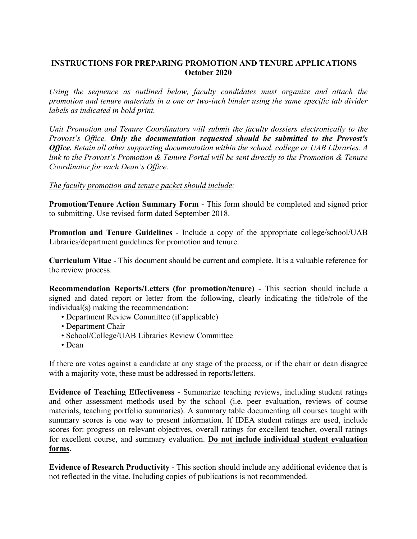## **INSTRUCTIONS FOR PREPARING PROMOTION AND TENURE APPLICATIONS October 2020**

*Using the sequence as outlined below, faculty candidates must organize and attach the promotion and tenure materials in a one or two-inch binder using the same specific tab divider labels as indicated in bold print.* 

 *link to the Provost's Promotion & Tenure Portal will be sent directly to the Promotion & Tenure Unit Promotion and Tenure Coordinators will submit the faculty dossiers electronically to the Provost's Office. Only the documentation requested should be submitted to the Provost's Office. Retain all other supporting documentation within the school, college or UAB Libraries. A Coordinator for each Dean's Office.* 

## *The faculty promotion and tenure packet should include:*

**Promotion/Tenure Action Summary Form** - This form should be completed and signed prior to submitting. Use revised form dated September 2018.

**Promotion and Tenure Guidelines** - Include a copy of the appropriate college/school/UAB Libraries/department guidelines for promotion and tenure.

 **Curriculum Vitae** - This document should be current and complete. It is a valuable reference for the review process.

**Recommendation Reports/Letters (for promotion/tenure)** - This section should include a signed and dated report or letter from the following, clearly indicating the title/role of the individual(s) making the recommendation:

- Department Review Committee (if applicable)
- Department Chair
- School/College/UAB Libraries Review Committee
- Dean

If there are votes against a candidate at any stage of the process, or if the chair or dean disagree with a majority vote, these must be addressed in reports/letters.

 scores for: progress on relevant objectives, overall ratings for excellent teacher, overall ratings **Evidence of Teaching Effectiveness** - Summarize teaching reviews, including student ratings and other assessment methods used by the school (i.e. peer evaluation, reviews of course materials, teaching portfolio summaries). A summary table documenting all courses taught with summary scores is one way to present information. If IDEA student ratings are used, include for excellent course, and summary evaluation. **Do not include individual student evaluation forms**.

 **Evidence of Research Productivity** - This section should include any additional evidence that is not reflected in the vitae. Including copies of publications is not recommended.